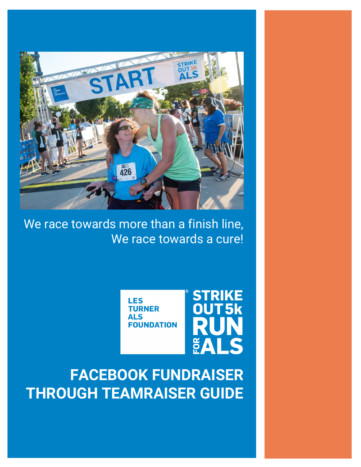

We race towards more than a finish line, We race towards a cure!

> **LES TURNER** ALS **FOUNDATION**



**FACEBOOK FUNDRAISER THROUGH TEAMRAISER GUIDE**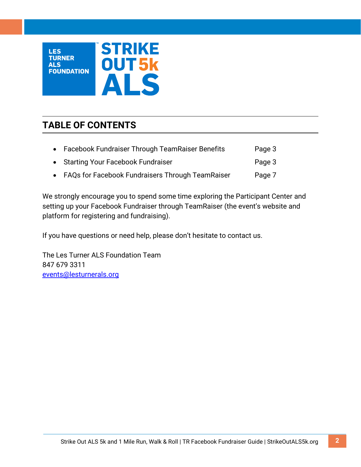

# **TABLE OF CONTENTS**

| • Facebook Fundraiser Through TeamRaiser Benefits  | Page 3 |
|----------------------------------------------------|--------|
| • Starting Your Facebook Fundraiser                | Page 3 |
| • FAQs for Facebook Fundraisers Through TeamRaiser | Page 7 |

We strongly encourage you to spend some time exploring the Participant Center and setting up your Facebook Fundraiser through TeamRaiser (the event's website and platform for registering and fundraising).

If you have questions or need help, please don't hesitate to contact us.

The Les Turner ALS Foundation Team 847 679 3311 [events@lesturnerals.org](mailto:events@lesturnerals.org)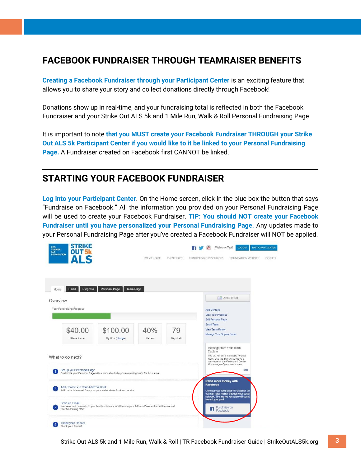## **FACEBOOK FUNDRAISER THROUGH TEAMRAISER BENEFITS**

**Creating a Facebook Fundraiser through your Participant Center** is an exciting feature that allows you to share your story and collect donations directly through Facebook!

Donations show up in real-time, and your fundraising total is reflected in both the Facebook Fundraiser and your Strike Out ALS 5k and 1 Mile Run, Walk & Roll Personal Fundraising Page.

It is important to note **that you MUST create your Facebook Fundraiser THROUGH your Strike Out ALS 5k Participant Center if you would like to it be linked to your Personal Fundraising Page.** A Fundraiser created on Facebook first CANNOT be linked.

## **STARTING YOUR FACEBOOK FUNDRAISER**

**Log into your Participant Center**. On the Home screen, click in the blue box the button that says "Fundraise on Facebook." All the information you provided on your Personal Fundraising Page will be used to create your Facebook Fundraiser. **TIP: You should NOT create your Facebook Fundraiser until you have personalized your Personal Fundraising Page.** Any updates made to your Personal Fundraising Page after you've created a Facebook Fundraiser will NOT be applied.

| <b>STRIKE</b><br>LES<br><b>TURNER</b><br>OUT <sub>5k</sub><br><b>ALS</b><br><b>FOUNDATION</b><br><b>ALS</b> |                                                                                                                                             | EVENT HOME     | EVENT FAQ'S     | <b>FUNDRAISING RESOURCES</b> | Welcome Test!                                                                                                                                      | LOGOUT<br><b>FOUNDATION WEBSITE</b>                                                                                          | <b>PARTICIPANT CENTER</b><br><b>DONATE</b> |
|-------------------------------------------------------------------------------------------------------------|---------------------------------------------------------------------------------------------------------------------------------------------|----------------|-----------------|------------------------------|----------------------------------------------------------------------------------------------------------------------------------------------------|------------------------------------------------------------------------------------------------------------------------------|--------------------------------------------|
| Progress<br>Home<br>Email<br>Overview<br>Your Fundraising Progress                                          | Personal Page<br>Team Page                                                                                                                  |                |                 |                              | Send email<br><b>Add Contacts</b><br>View Your Progress                                                                                            |                                                                                                                              |                                            |
| \$40.00<br>I Have Raised                                                                                    | \$100.00<br>My Goal (change)                                                                                                                | 40%<br>Percent | 79<br>Days Left | Email Team                   | Edit Personal Page<br><b>View Team Roster</b><br>Manage Your Display Name                                                                          |                                                                                                                              |                                            |
| What to do next?                                                                                            |                                                                                                                                             |                |                 |                              | Message from Your Team<br>Captain<br>You did not set a message for your<br>team. Use the Edit link to leave a<br>message on the Participant Center |                                                                                                                              |                                            |
|                                                                                                             | Set up your Personal Page<br>Customize your Personal Page with a story about why you are raising funds for this cause.                      |                |                 |                              | Home page of your teammates.                                                                                                                       | Edit                                                                                                                         |                                            |
| Add Contacts to Your Address Book                                                                           | Add contacts to email from your personal Address Book on our site.                                                                          |                |                 | <b>Facebook</b>              | Raise more money with                                                                                                                              | Connect your fundraiser to Facebook so<br>you can raise money through your social<br>network. The money you raise will count |                                            |
| Send an Email<br>3<br>your fundraising effort.                                                              | toward your goal.<br>You have sent no emails to your family or friends. Add them to your Address Book and email them about<br>f<br>Facebook |                |                 |                              |                                                                                                                                                    | Fundraise on                                                                                                                 |                                            |
| <b>Thank your Donors</b><br>Thank your donors!                                                              |                                                                                                                                             |                |                 |                              |                                                                                                                                                    |                                                                                                                              |                                            |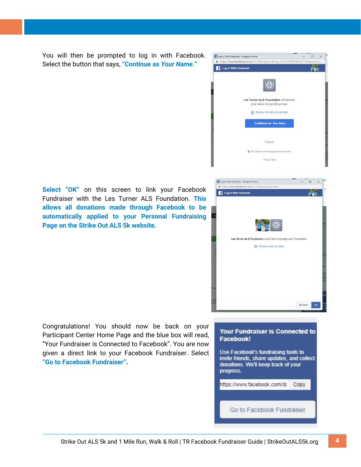You will then be prompted to log in with Facebook. Select the button that says, **"Continue as** *Your Name***."**



**Select "OK"** on this screen to link your Facebook Fundraiser with the Les Turner ALS Foundation. **This allows all donations made through Facebook to be automatically applied to your Personal Fundraising Page on the Strike Out ALS 5k website.**



Congratulations! You should now be back on your Participant Center Home Page and the blue box will read, "Your Fundraiser is Connected to Facebook". You are now given a direct link to your Facebook Fundraiser. Select **"Go to Facebook Fundraiser".**

#### Your Fundraiser is Connected to Facebook!

Use Facebook's fundraising tools to invite friends, share updates, and collect donations. We'll keep track of your progress.

https://www.facebook.com/do Copy

Go to Facebook Fundraiser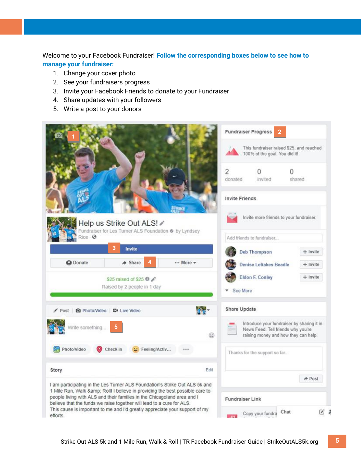Welcome to your Facebook Fundraiser! **Follow the corresponding boxes below to see how to manage your fundraiser:** 

- 1. Change your cover photo
- 2. See your fundraisers progress
- 3. Invite your Facebook Friends to donate to your Fundraiser
- 4. Share updates with your followers
- 5. Write a post to your donors

|                                                                                                                                                                                                                               | <b>Fundraiser Progress</b><br>This fundraiser raised \$25, and reached<br>100% of the goal. You did it!                  |                               |             |  |  |
|-------------------------------------------------------------------------------------------------------------------------------------------------------------------------------------------------------------------------------|--------------------------------------------------------------------------------------------------------------------------|-------------------------------|-------------|--|--|
|                                                                                                                                                                                                                               |                                                                                                                          |                               |             |  |  |
|                                                                                                                                                                                                                               | $\overline{2}$<br>donated                                                                                                | invited                       | U<br>shared |  |  |
|                                                                                                                                                                                                                               | <b>Invite Friends</b>                                                                                                    |                               |             |  |  |
| Help us Strike Out ALS! /<br>Fundraiser for Les Turner ALS Foundation @ by Lyndsey                                                                                                                                            | Invite more friends to your fundraiser.                                                                                  |                               |             |  |  |
| Rice · @                                                                                                                                                                                                                      |                                                                                                                          | Add friends to fundraiser     |             |  |  |
| 3<br>Invite                                                                                                                                                                                                                   |                                                                                                                          | <b>Deb Thompson</b>           | $+$ Invite  |  |  |
| <b>Q</b> Donate<br>$\triangle$ Share<br>4<br>More -                                                                                                                                                                           |                                                                                                                          | <b>Denise Leftakes Beadle</b> | $+$ Invite  |  |  |
| \$25 raised of \$25 0<br>Raised by 2 people in 1 day                                                                                                                                                                          | <b>Eldon F. Conley</b><br>$+$ Invite<br>See More                                                                         |                               |             |  |  |
| Post @ Photo/Video @ Live Video                                                                                                                                                                                               | Share Update                                                                                                             |                               |             |  |  |
| Write something<br>۵                                                                                                                                                                                                          | Introduce your fundraiser by sharing it in<br>News Feed. Tell friends why you're<br>raising money and how they can help. |                               |             |  |  |
| Photo/Video<br>Check in<br>Feeling/Activ                                                                                                                                                                                      | Thanks for the support so far                                                                                            |                               |             |  |  |
| Edit<br>Story                                                                                                                                                                                                                 |                                                                                                                          |                               |             |  |  |
| I am participating in the Les Turner ALS Foundation's Strike Out ALS 5k and                                                                                                                                                   |                                                                                                                          |                               | A Post      |  |  |
| 1 Mile Run, Walk & Roll! I believe in providing the best possible care to<br>people living with ALS and their families in the Chicagoland area and I<br>believe that the funds we raise together will lead to a cure for ALS. | <b>Fundraiser Link</b>                                                                                                   |                               |             |  |  |
| This cause is important to me and I'd greatly appreciate your support of my<br>efforts.                                                                                                                                       |                                                                                                                          | Chat<br>Copy your fundra      | $\alpha$ :  |  |  |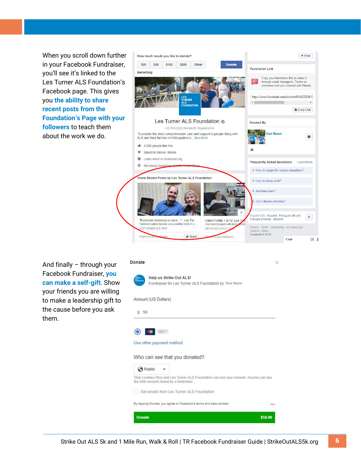When you scroll down further in your Facebook Fundraiser, you'll see it's linked to the Les Turner ALS Foundation's Facebook page. This gives you **the ability to share recent posts from the Foundation's Page with your followers** to teach them about the work we do.



And finally – through your Facebook Fundraiser, **you can make a self-gift**. Show your friends you are willing to make a leadership gift to the cause before you ask them.

#### Donate



Help us Strike Out ALS! Fundraiser for Les Turner ALS Foundation by Your Name Amount (US Dollars)

 $\geq$ 

### $$50$



#### Use other payment method

#### Who can see that you donated?

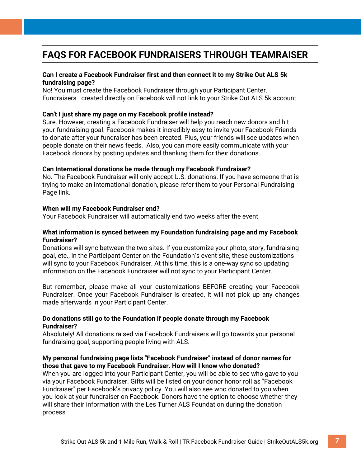## **FAQS FOR FACEBOOK FUNDRAISERS THROUGH TEAMRAISER**

### **Can I create a Facebook Fundraiser first and then connect it to my Strike Out ALS 5k fundraising page?**

No! You must create the Facebook Fundraiser through your Participant Center. Fundraisers created directly on Facebook will not link to your Strike Out ALS 5k account.

#### **Can't I just share my page on my Facebook profile instead?**

Sure. However, creating a Facebook Fundraiser will help you reach new donors and hit your fundraising goal. Facebook makes it incredibly easy to invite your Facebook Friends to donate after your fundraiser has been created. Plus, your friends will see updates when people donate on their news feeds. Also, you can more easily communicate with your Facebook donors by posting updates and thanking them for their donations.

#### **Can International donations be made through my Facebook Fundraiser?**

No. The Facebook Fundraiser will only accept U.S. donations. If you have someone that is trying to make an international donation, please refer them to your Personal Fundraising Page link.

#### **When will my Facebook Fundraiser end?**

Your Facebook Fundraiser will automatically end two weeks after the event.

#### **What information is synced between my Foundation fundraising page and my Facebook Fundraiser?**

Donations will sync between the two sites. If you customize your photo, story, fundraising goal, etc., in the Participant Center on the Foundation's event site, these customizations will sync to your Facebook Fundraiser. At this time, this is a one-way sync so updating information on the Facebook Fundraiser will not sync to your Participant Center.

But remember, please make all your customizations BEFORE creating your Facebook Fundraiser. Once your Facebook Fundraiser is created, it will not pick up any changes made afterwards in your Participant Center.

### **Do donations still go to the Foundation if people donate through my Facebook Fundraiser?**

Absolutely! All donations raised via Facebook Fundraisers will go towards your personal fundraising goal, supporting people living with ALS.

### **My personal fundraising page lists "Facebook Fundraiser" instead of donor names for those that gave to my Facebook Fundraiser. How will I know who donated?**

When you are logged into your Participant Center, you will be able to see who gave to you via your Facebook Fundraiser. Gifts will be listed on your donor honor roll as "Facebook Fundraiser" per Facebook's privacy policy. You will also see who donated to you when you look at your fundraiser on Facebook. Donors have the option to choose whether they will share their information with the Les Turner ALS Foundation during the donation process